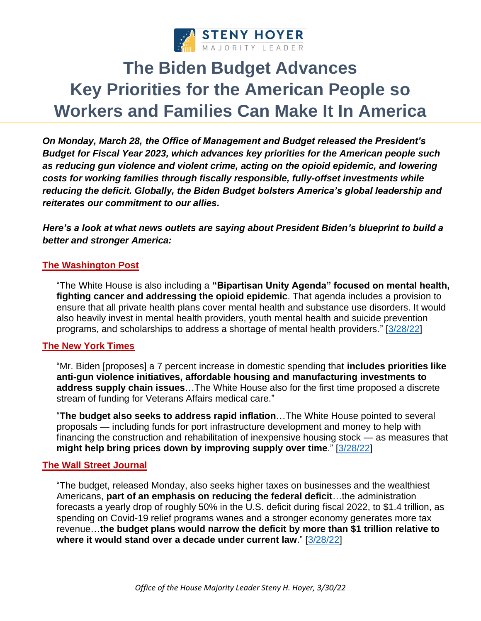

# **The Biden Budget Advances Key Priorities for the American People so Workers and Families Can Make It In America**

*On Monday, March 28, the Office of Management and Budget released the President's Budget for Fiscal Year 2023, which advances key priorities for the American people such as reducing gun violence and violent crime, acting on the opioid epidemic, and lowering costs for working families through fiscally responsible, fully-offset investments while reducing the deficit. Globally, the Biden Budget bolsters America's global leadership and reiterates our commitment to our allies.*

*Here's a look at what news outlets are saying about President Biden's blueprint to build a better and stronger America:* 

## **The Washington Post**

"The White House is also including a **"Bipartisan Unity Agenda" focused on mental health, fighting cancer and addressing the opioid epidemic**. That agenda includes a provision to ensure that all private health plans cover mental health and substance use disorders. It would also heavily invest in mental health providers, youth mental health and suicide prevention programs, and scholarships to address a shortage of mental health providers." [\[3/28/22\]](https://www.washingtonpost.com/us-policy/2022/03/28/biden-budget-white-house/)

#### **The New York Times**

"Mr. Biden [proposes] a 7 percent increase in domestic spending that **includes priorities like anti-gun violence initiatives, affordable housing and manufacturing investments to address supply chain issues**…The White House also for the first time proposed a discrete stream of funding for Veterans Affairs medical care."

"**The budget also seeks to address rapid inflation**…The White House pointed to several proposals — including funds for port infrastructure development and money to help with financing the construction and rehabilitation of inexpensive housing stock — as measures that **might help bring prices down by improving supply over time**." [\[3/28/22\]](https://www.nytimes.com/2022/03/28/us/politics/biden-proposes-increases-in-defense-and-social-spending.html)

## **The Wall Street Journal**

"The budget, released Monday, also seeks higher taxes on businesses and the wealthiest Americans, **part of an emphasis on reducing the federal deficit**…the administration forecasts a yearly drop of roughly 50% in the U.S. deficit during fiscal 2022, to \$1.4 trillion, as spending on Covid-19 relief programs wanes and a stronger economy generates more tax revenue…**the budget plans would narrow the deficit by more than \$1 trillion relative to where it would stand over a decade under current law**." [\[3/28/22\]](https://www.wsj.com/articles/bidens-budget-calls-for-increase-in-defense-spending-aiding-ukraine-11648479687?mod=politics_lead_pos6)